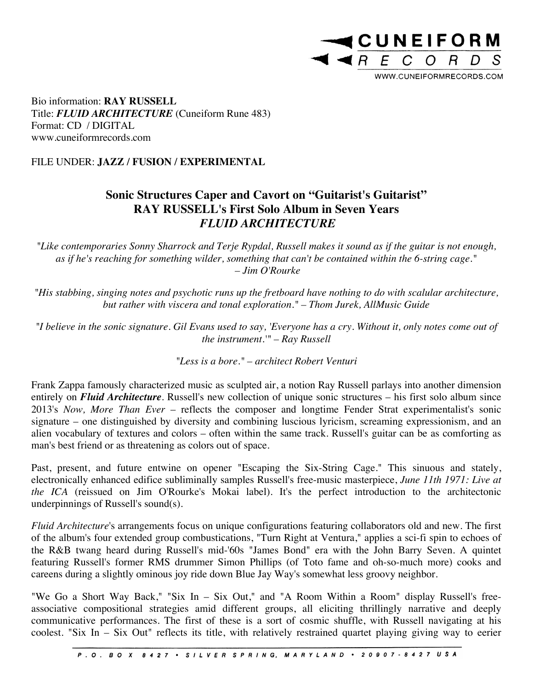

Bio information: **RAY RUSSELL** Title: *FLUID ARCHITECTURE* (Cuneiform Rune 483) Format: CD / DIGITAL www.cuneiformrecords.com

## FILE UNDER: **JAZZ / FUSION / EXPERIMENTAL**

## **Sonic Structures Caper and Cavort on "Guitarist's Guitarist" RAY RUSSELL's First Solo Album in Seven Years** *FLUID ARCHITECTURE*

*"Like contemporaries Sonny Sharrock and Terje Rypdal, Russell makes it sound as if the guitar is not enough, as if he's reaching for something wilder, something that can't be contained within the 6-string cage." – Jim O'Rourke*

*"His stabbing, singing notes and psychotic runs up the fretboard have nothing to do with scalular architecture, but rather with viscera and tonal exploration." – Thom Jurek, AllMusic Guide*

*"I believe in the sonic signature. Gil Evans used to say, 'Everyone has a cry. Without it, only notes come out of the instrument.'" – Ray Russell*

*"Less is a bore." – architect Robert Venturi*

Frank Zappa famously characterized music as sculpted air, a notion Ray Russell parlays into another dimension entirely on *Fluid Architecture*. Russell's new collection of unique sonic structures – his first solo album since 2013's *Now, More Than Ever* – reflects the composer and longtime Fender Strat experimentalist's sonic signature – one distinguished by diversity and combining luscious lyricism, screaming expressionism, and an alien vocabulary of textures and colors – often within the same track. Russell's guitar can be as comforting as man's best friend or as threatening as colors out of space.

Past, present, and future entwine on opener "Escaping the Six-String Cage." This sinuous and stately, electronically enhanced edifice subliminally samples Russell's free-music masterpiece, *June 11th 1971: Live at the ICA* (reissued on Jim O'Rourke's Mokai label). It's the perfect introduction to the architectonic underpinnings of Russell's sound(s).

*Fluid Architecture*'s arrangements focus on unique configurations featuring collaborators old and new. The first of the album's four extended group combustications, "Turn Right at Ventura," applies a sci-fi spin to echoes of the R&B twang heard during Russell's mid-'60s "James Bond" era with the John Barry Seven. A quintet featuring Russell's former RMS drummer Simon Phillips (of Toto fame and oh-so-much more) cooks and careens during a slightly ominous joy ride down Blue Jay Way's somewhat less groovy neighbor.

"We Go a Short Way Back," "Six In – Six Out," and "A Room Within a Room" display Russell's freeassociative compositional strategies amid different groups, all eliciting thrillingly narrative and deeply communicative performances. The first of these is a sort of cosmic shuffle, with Russell navigating at his coolest. "Six In – Six Out" reflects its title, with relatively restrained quartet playing giving way to eerier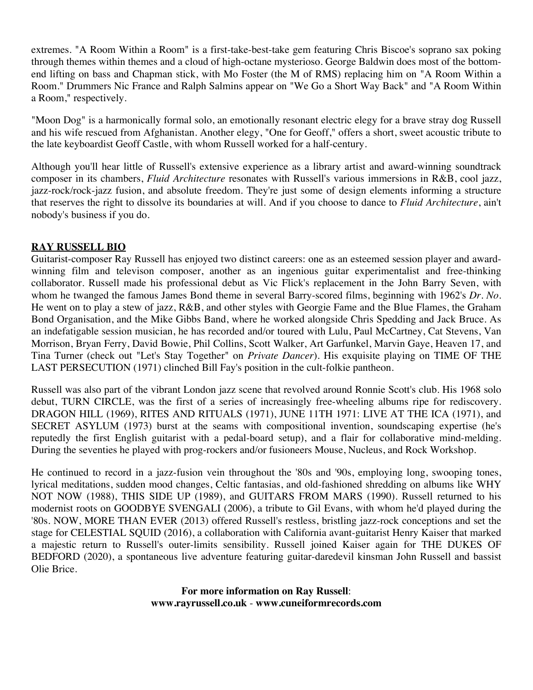extremes. "A Room Within a Room" is a first-take-best-take gem featuring Chris Biscoe's soprano sax poking through themes within themes and a cloud of high-octane mysterioso. George Baldwin does most of the bottomend lifting on bass and Chapman stick, with Mo Foster (the M of RMS) replacing him on "A Room Within a Room." Drummers Nic France and Ralph Salmins appear on "We Go a Short Way Back" and "A Room Within a Room," respectively.

"Moon Dog" is a harmonically formal solo, an emotionally resonant electric elegy for a brave stray dog Russell and his wife rescued from Afghanistan. Another elegy, "One for Geoff," offers a short, sweet acoustic tribute to the late keyboardist Geoff Castle, with whom Russell worked for a half-century.

Although you'll hear little of Russell's extensive experience as a library artist and award-winning soundtrack composer in its chambers, *Fluid Architecture* resonates with Russell's various immersions in R&B, cool jazz, jazz-rock/rock-jazz fusion, and absolute freedom. They're just some of design elements informing a structure that reserves the right to dissolve its boundaries at will. And if you choose to dance to *Fluid Architecture*, ain't nobody's business if you do.

## **RAY RUSSELL BIO**

Guitarist-composer Ray Russell has enjoyed two distinct careers: one as an esteemed session player and awardwinning film and televison composer, another as an ingenious guitar experimentalist and free-thinking collaborator. Russell made his professional debut as Vic Flick's replacement in the John Barry Seven, with whom he twanged the famous James Bond theme in several Barry-scored films, beginning with 1962's *Dr. No.* He went on to play a stew of jazz, R&B, and other styles with Georgie Fame and the Blue Flames, the Graham Bond Organisation, and the Mike Gibbs Band, where he worked alongside Chris Spedding and Jack Bruce. As an indefatigable session musician, he has recorded and/or toured with Lulu, Paul McCartney, Cat Stevens, Van Morrison, Bryan Ferry, David Bowie, Phil Collins, Scott Walker, Art Garfunkel, Marvin Gaye, Heaven 17, and Tina Turner (check out "Let's Stay Together" on *Private Dancer*). His exquisite playing on TIME OF THE LAST PERSECUTION (1971) clinched Bill Fay's position in the cult-folkie pantheon.

Russell was also part of the vibrant London jazz scene that revolved around Ronnie Scott's club. His 1968 solo debut, TURN CIRCLE, was the first of a series of increasingly free-wheeling albums ripe for rediscovery. DRAGON HILL (1969), RITES AND RITUALS (1971), JUNE 11TH 1971: LIVE AT THE ICA (1971), and SECRET ASYLUM (1973) burst at the seams with compositional invention, soundscaping expertise (he's reputedly the first English guitarist with a pedal-board setup), and a flair for collaborative mind-melding. During the seventies he played with prog-rockers and/or fusioneers Mouse, Nucleus, and Rock Workshop.

He continued to record in a jazz-fusion vein throughout the '80s and '90s, employing long, swooping tones, lyrical meditations, sudden mood changes, Celtic fantasias, and old-fashioned shredding on albums like WHY NOT NOW (1988), THIS SIDE UP (1989), and GUITARS FROM MARS (1990). Russell returned to his modernist roots on GOODBYE SVENGALI (2006), a tribute to Gil Evans, with whom he'd played during the '80s. NOW, MORE THAN EVER (2013) offered Russell's restless, bristling jazz-rock conceptions and set the stage for CELESTIAL SQUID (2016), a collaboration with California avant-guitarist Henry Kaiser that marked a majestic return to Russell's outer-limits sensibility. Russell joined Kaiser again for THE DUKES OF BEDFORD (2020), a spontaneous live adventure featuring guitar-daredevil kinsman John Russell and bassist Olie Brice.

> **For more information on Ray Russell**: **www.rayrussell.co.uk** - **www.cuneiformrecords.com**